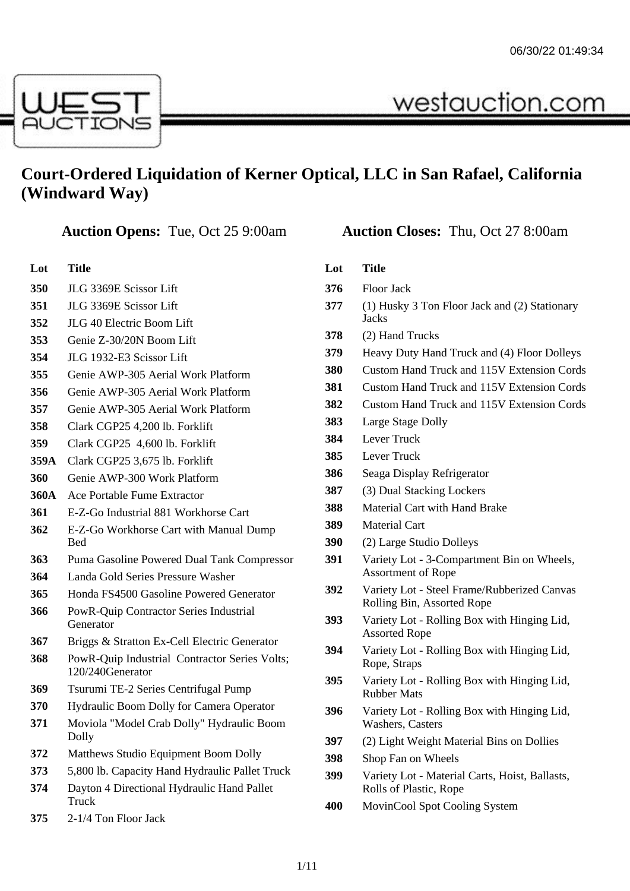

# **Court-Ordered Liquidation of Kerner Optical, LLC in San Rafael, California (Windward Way)**

| Lot        | Title                  |
|------------|------------------------|
| <b>350</b> | JLG 3369E Scissor Lift |

- JLG 3369E Scissor Lift
- JLG 40 Electric Boom Lift
- Genie Z-30/20N Boom Lift
- JLG 1932-E3 Scissor Lift
- Genie AWP-305 Aerial Work Platform
- Genie AWP-305 Aerial Work Platform
- Genie AWP-305 Aerial Work Platform
- Clark CGP25 4,200 lb. Forklift
- Clark CGP25 4,600 lb. Forklift
- **359A** Clark CGP25 3,675 lb. Forklift
- Genie AWP-300 Work Platform
- **360A** Ace Portable Fume Extractor
- E-Z-Go Industrial 881 Workhorse Cart
- E-Z-Go Workhorse Cart with Manual Dump Bed
- Puma Gasoline Powered Dual Tank Compressor
- Landa Gold Series Pressure Washer
- Honda FS4500 Gasoline Powered Generator
- PowR-Quip Contractor Series Industrial Generator
- Briggs & Stratton Ex-Cell Electric Generator
- PowR-Quip Industrial Contractor Series Volts; 120/240Generator
- Tsurumi TE-2 Series Centrifugal Pump
- Hydraulic Boom Dolly for Camera Operator
- Moviola "Model Crab Dolly" Hydraulic Boom Dolly
- Matthews Studio Equipment Boom Dolly
- 5,800 lb. Capacity Hand Hydraulic Pallet Truck
- Dayton 4 Directional Hydraulic Hand Pallet Truck
- 2-1/4 Ton Floor Jack

| Lot | Title                                                                     |  |
|-----|---------------------------------------------------------------------------|--|
| 376 | Floor Jack                                                                |  |
| 377 | (1) Husky 3 Ton Floor Jack and (2) Stationary<br><b>Jacks</b>             |  |
| 378 | (2) Hand Trucks                                                           |  |
| 379 | Heavy Duty Hand Truck and (4) Floor Dolleys                               |  |
| 380 | Custom Hand Truck and 115V Extension Cords                                |  |
| 381 | <b>Custom Hand Truck and 115V Extension Cords</b>                         |  |
| 382 | <b>Custom Hand Truck and 115V Extension Cords</b>                         |  |
| 383 | Large Stage Dolly                                                         |  |
| 384 | Lever Truck                                                               |  |
| 385 | <b>Lever Truck</b>                                                        |  |
| 386 | Seaga Display Refrigerator                                                |  |
| 387 | (3) Dual Stacking Lockers                                                 |  |
| 388 | Material Cart with Hand Brake                                             |  |
| 389 | <b>Material Cart</b>                                                      |  |
| 390 | (2) Large Studio Dolleys                                                  |  |
| 391 | Variety Lot - 3-Compartment Bin on Wheels,<br><b>Assortment of Rope</b>   |  |
| 392 | Variety Lot - Steel Frame/Rubberized Canvas<br>Rolling Bin, Assorted Rope |  |
| 393 | Variety Lot - Rolling Box with Hinging Lid,<br><b>Assorted Rope</b>       |  |
| 394 | Variety Lot - Rolling Box with Hinging Lid,<br>Rope, Straps               |  |
| 395 | Variety Lot - Rolling Box with Hinging Lid,<br><b>Rubber Mats</b>         |  |
| 396 | Variety Lot - Rolling Box with Hinging Lid,<br>Washers, Casters           |  |
| 397 | (2) Light Weight Material Bins on Dollies                                 |  |
| 398 | Shop Fan on Wheels                                                        |  |
| 399 | Variety Lot - Material Carts, Hoist, Ballasts,<br>Rolls of Plastic, Rope  |  |

MovinCool Spot Cooling System

### **Auction Opens:** Tue, Oct 25 9:00am **Auction Closes:** Thu, Oct 27 8:00am

westauction.com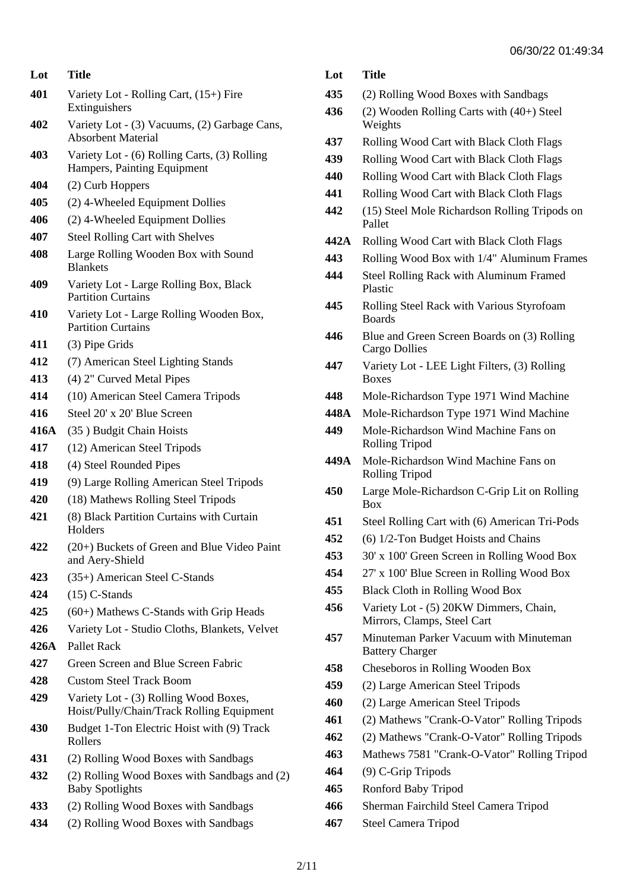| Lot  | <b>Title</b>                                                                       |  |  |
|------|------------------------------------------------------------------------------------|--|--|
| 401  | Variety Lot - Rolling Cart, (15+) Fire<br>Extinguishers                            |  |  |
| 402  | Variety Lot - (3) Vacuums, (2) Garbage Cans,<br><b>Absorbent Material</b>          |  |  |
| 403  | Variety Lot - (6) Rolling Carts, (3) Rolling<br>Hampers, Painting Equipment        |  |  |
| 404  | (2) Curb Hoppers                                                                   |  |  |
| 405  | (2) 4-Wheeled Equipment Dollies                                                    |  |  |
| 406  | (2) 4-Wheeled Equipment Dollies                                                    |  |  |
| 407  | Steel Rolling Cart with Shelves                                                    |  |  |
| 408  | Large Rolling Wooden Box with Sound<br><b>Blankets</b>                             |  |  |
| 409  | Variety Lot - Large Rolling Box, Black<br><b>Partition Curtains</b>                |  |  |
| 410  | Variety Lot - Large Rolling Wooden Box,<br><b>Partition Curtains</b>               |  |  |
| 411  | (3) Pipe Grids                                                                     |  |  |
| 412  | (7) American Steel Lighting Stands                                                 |  |  |
| 413  | (4) 2" Curved Metal Pipes                                                          |  |  |
| 414  | (10) American Steel Camera Tripods                                                 |  |  |
| 416  | Steel 20' x 20' Blue Screen                                                        |  |  |
| 416A | (35) Budgit Chain Hoists                                                           |  |  |
| 417  | (12) American Steel Tripods                                                        |  |  |
| 418  | (4) Steel Rounded Pipes                                                            |  |  |
| 419  | (9) Large Rolling American Steel Tripods                                           |  |  |
| 420  | (18) Mathews Rolling Steel Tripods                                                 |  |  |
| 421  | (8) Black Partition Curtains with Curtain<br>Holders                               |  |  |
| 422  | (20+) Buckets of Green and Blue Video Paint<br>and Aery-Shield                     |  |  |
| 423  | (35+) American Steel C-Stands                                                      |  |  |
| 424  | $(15)$ C-Stands                                                                    |  |  |
| 425  | $(60+)$ Mathews C-Stands with Grip Heads                                           |  |  |
| 426  | Variety Lot - Studio Cloths, Blankets, Velvet                                      |  |  |
| 426A | <b>Pallet Rack</b>                                                                 |  |  |
| 427  | Green Screen and Blue Screen Fabric                                                |  |  |
| 428  | <b>Custom Steel Track Boom</b>                                                     |  |  |
| 429  | Variety Lot - (3) Rolling Wood Boxes,<br>Hoist/Pully/Chain/Track Rolling Equipment |  |  |
| 430  | Budget 1-Ton Electric Hoist with (9) Track<br>Rollers                              |  |  |
| 431  | (2) Rolling Wood Boxes with Sandbags                                               |  |  |
| 432  | (2) Rolling Wood Boxes with Sandbags and (2)<br><b>Baby Spotlights</b>             |  |  |
| 433  | (2) Rolling Wood Boxes with Sandbags                                               |  |  |
|      |                                                                                    |  |  |

## (2) Rolling Wood Boxes with Sandbags

- (2) Rolling Wood Boxes with Sandbags
- (2) Wooden Rolling Carts with (40+) Steel Weights
- Rolling Wood Cart with Black Cloth Flags
- Rolling Wood Cart with Black Cloth Flags
- Rolling Wood Cart with Black Cloth Flags
- Rolling Wood Cart with Black Cloth Flags
- (15) Steel Mole Richardson Rolling Tripods on Pallet
- **442A** Rolling Wood Cart with Black Cloth Flags
- Rolling Wood Box with 1/4" Aluminum Frames
- Steel Rolling Rack with Aluminum Framed Plastic
- Rolling Steel Rack with Various Styrofoam Boards
- Blue and Green Screen Boards on (3) Rolling Cargo Dollies
- Variety Lot LEE Light Filters, (3) Rolling Boxes
- Mole-Richardson Type 1971 Wind Machine
- **448A** Mole-Richardson Type 1971 Wind Machine
- Mole-Richardson Wind Machine Fans on Rolling Tripod
- **449A** Mole-Richardson Wind Machine Fans on Rolling Tripod
- Large Mole-Richardson C-Grip Lit on Rolling Box
- Steel Rolling Cart with (6) American Tri-Pods
- (6) 1/2-Ton Budget Hoists and Chains
- 30' x 100' Green Screen in Rolling Wood Box
- 27' x 100' Blue Screen in Rolling Wood Box
- Black Cloth in Rolling Wood Box
- Variety Lot (5) 20KW Dimmers, Chain, Mirrors, Clamps, Steel Cart
- Minuteman Parker Vacuum with Minuteman Battery Charger
- Cheseboros in Rolling Wooden Box
- (2) Large American Steel Tripods
- (2) Large American Steel Tripods
- (2) Mathews "Crank-O-Vator" Rolling Tripods
- (2) Mathews "Crank-O-Vator" Rolling Tripods
- Mathews 7581 "Crank-O-Vator" Rolling Tripod
- (9) C-Grip Tripods
- Ronford Baby Tripod
- Sherman Fairchild Steel Camera Tripod
- Steel Camera Tripod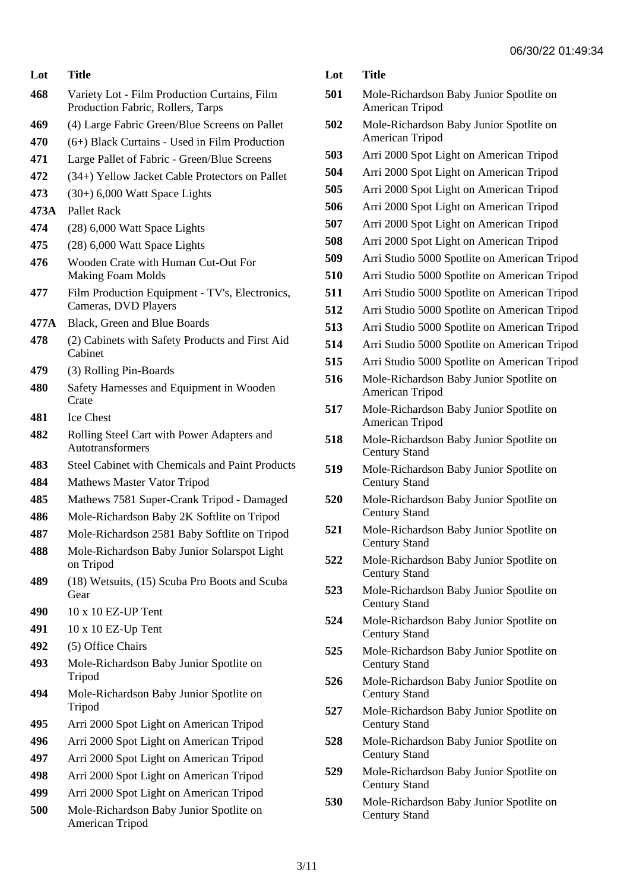| Lot  | Title                                                                             |  |  |
|------|-----------------------------------------------------------------------------------|--|--|
| 468  | Variety Lot - Film Production Curtains, Film<br>Production Fabric, Rollers, Tarps |  |  |
| 469  | (4) Large Fabric Green/Blue Screens on Pallet                                     |  |  |
| 470  | $(6+)$ Black Curtains - Used in Film Production                                   |  |  |
| 471  | Large Pallet of Fabric - Green/Blue Screens                                       |  |  |
| 472  | (34+) Yellow Jacket Cable Protectors on Pallet                                    |  |  |
| 473  | $(30+)$ 6,000 Watt Space Lights                                                   |  |  |
| 473A | Pallet Rack                                                                       |  |  |
| 474  | (28) 6,000 Watt Space Lights                                                      |  |  |
| 475  | (28) 6,000 Watt Space Lights                                                      |  |  |
| 476  | Wooden Crate with Human Cut-Out For<br><b>Making Foam Molds</b>                   |  |  |
| 477  | Film Production Equipment - TV's, Electronics,<br>Cameras, DVD Players            |  |  |
| 477A | Black, Green and Blue Boards                                                      |  |  |
| 478  | (2) Cabinets with Safety Products and First Aid<br>Cabinet                        |  |  |
| 479  | (3) Rolling Pin-Boards                                                            |  |  |
| 480  | Safety Harnesses and Equipment in Wooden<br>Crate                                 |  |  |
| 481  | <b>Ice Chest</b>                                                                  |  |  |
| 482  | Rolling Steel Cart with Power Adapters and<br><b>Autotransformers</b>             |  |  |
| 483  | <b>Steel Cabinet with Chemicals and Paint Products</b>                            |  |  |
| 484  | Mathews Master Vator Tripod                                                       |  |  |
| 485  | Mathews 7581 Super-Crank Tripod - Damaged                                         |  |  |
| 486  | Mole-Richardson Baby 2K Softlite on Tripod                                        |  |  |
| 487  | Mole-Richardson 2581 Baby Softlite on Tripod                                      |  |  |
| 488  | Mole-Richardson Baby Junior Solarspot Light<br>on Tripod                          |  |  |
| 489  | (18) Wetsuits, (15) Scuba Pro Boots and Scuba<br>Gear                             |  |  |
| 490  | 10 x 10 EZ-UP Tent                                                                |  |  |
| 491  | $10 \times 10$ EZ-Up Tent                                                         |  |  |
| 492  | (5) Office Chairs                                                                 |  |  |
| 493  | Mole-Richardson Baby Junior Spotlite on<br>Tripod                                 |  |  |
| 494  | Mole-Richardson Baby Junior Spotlite on<br>Tripod                                 |  |  |
| 495  | Arri 2000 Spot Light on American Tripod                                           |  |  |
| 496  | Arri 2000 Spot Light on American Tripod                                           |  |  |
| 497  | Arri 2000 Spot Light on American Tripod                                           |  |  |
| 498  | Arri 2000 Spot Light on American Tripod                                           |  |  |
| 499  | Arri 2000 Spot Light on American Tripod                                           |  |  |
|      | Mole-Richardson Baby Junior Spotlite on                                           |  |  |

|     | 000022 UT.                                                      |
|-----|-----------------------------------------------------------------|
| Lot | <b>Title</b>                                                    |
| 501 | Mole-Richardson Baby Junior Spotlite on<br>American Tripod      |
| 502 | Mole-Richardson Baby Junior Spotlite on<br>American Tripod      |
| 503 | Arri 2000 Spot Light on American Tripod                         |
| 504 | Arri 2000 Spot Light on American Tripod                         |
| 505 | Arri 2000 Spot Light on American Tripod                         |
| 506 | Arri 2000 Spot Light on American Tripod                         |
| 507 | Arri 2000 Spot Light on American Tripod                         |
| 508 | Arri 2000 Spot Light on American Tripod                         |
| 509 | Arri Studio 5000 Spotlite on American Tripod                    |
| 510 | Arri Studio 5000 Spotlite on American Tripod                    |
| 511 | Arri Studio 5000 Spotlite on American Tripod                    |
| 512 | Arri Studio 5000 Spotlite on American Tripod                    |
| 513 | Arri Studio 5000 Spotlite on American Tripod                    |
| 514 | Arri Studio 5000 Spotlite on American Tripod                    |
| 515 | Arri Studio 5000 Spotlite on American Tripod                    |
| 516 | Mole-Richardson Baby Junior Spotlite on<br>American Tripod      |
| 517 | Mole-Richardson Baby Junior Spotlite on<br>American Tripod      |
| 518 | Mole-Richardson Baby Junior Spotlite on<br><b>Century Stand</b> |
| 519 | Mole-Richardson Baby Junior Spotlite on<br><b>Century Stand</b> |
| 520 | Mole-Richardson Baby Junior Spotlite on<br><b>Century Stand</b> |
| 521 | Mole-Richardson Baby Junior Spotlite on<br><b>Century Stand</b> |
| 522 | Mole-Richardson Baby Junior Spotlite on<br><b>Century Stand</b> |
| 523 | Mole-Richardson Baby Junior Spotlite on<br><b>Century Stand</b> |
| 524 | Mole-Richardson Baby Junior Spotlite on<br><b>Century Stand</b> |
| 525 | Mole-Richardson Baby Junior Spotlite on<br><b>Century Stand</b> |
| 526 | Mole-Richardson Baby Junior Spotlite on<br><b>Century Stand</b> |
| 527 | Mole-Richardson Baby Junior Spotlite on<br><b>Century Stand</b> |
| 528 | Mole-Richardson Baby Junior Spotlite on<br><b>Century Stand</b> |
| 529 | Mole-Richardson Baby Junior Spotlite on<br><b>Century Stand</b> |

 Mole-Richardson Baby Junior Spotlite on Century Stand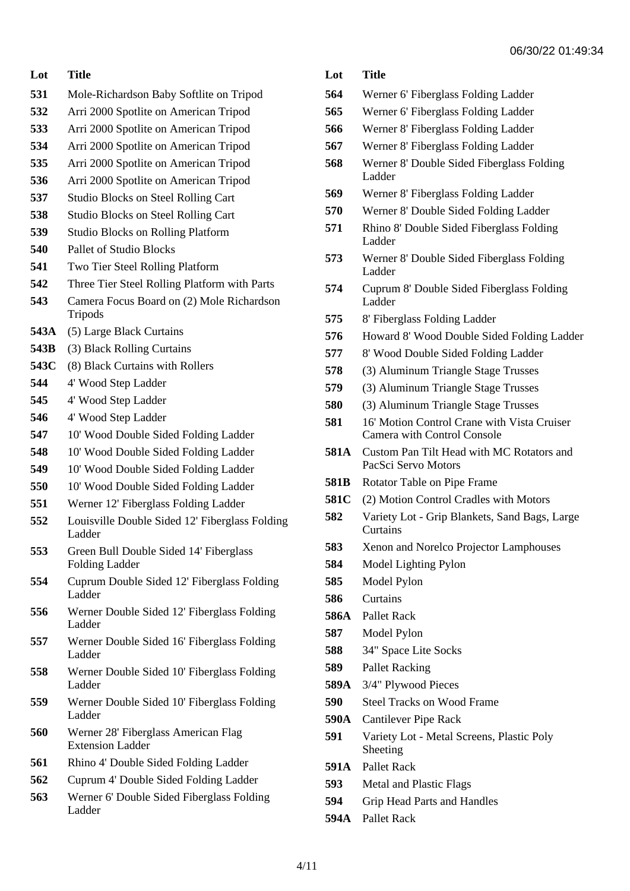- Mole-Richardson Baby Softlite on Tripod
- Arri 2000 Spotlite on American Tripod
- Arri 2000 Spotlite on American Tripod
- Arri 2000 Spotlite on American Tripod
- Arri 2000 Spotlite on American Tripod
- Arri 2000 Spotlite on American Tripod
- Studio Blocks on Steel Rolling Cart
- Studio Blocks on Steel Rolling Cart
- Studio Blocks on Rolling Platform
- Pallet of Studio Blocks
- Two Tier Steel Rolling Platform
- Three Tier Steel Rolling Platform with Parts
- Camera Focus Board on (2) Mole Richardson Tripods
- **543A** (5) Large Black Curtains
- **543B** (3) Black Rolling Curtains
- **543C** (8) Black Curtains with Rollers
- 4' Wood Step Ladder
- 4' Wood Step Ladder
- 4' Wood Step Ladder
- 10' Wood Double Sided Folding Ladder
- 10' Wood Double Sided Folding Ladder
- 10' Wood Double Sided Folding Ladder
- 10' Wood Double Sided Folding Ladder
- Werner 12' Fiberglass Folding Ladder
- Louisville Double Sided 12' Fiberglass Folding Ladder
- Green Bull Double Sided 14' Fiberglass Folding Ladder
- Cuprum Double Sided 12' Fiberglass Folding Ladder
- Werner Double Sided 12' Fiberglass Folding Ladder
- Werner Double Sided 16' Fiberglass Folding Ladder
- Werner Double Sided 10' Fiberglass Folding Ladder
- Werner Double Sided 10' Fiberglass Folding Ladder
- Werner 28' Fiberglass American Flag Extension Ladder
- Rhino 4' Double Sided Folding Ladder
- Cuprum 4' Double Sided Folding Ladder
- Werner 6' Double Sided Fiberglass Folding Ladder
- **Lot Title**
- Werner 6' Fiberglass Folding Ladder
- Werner 6' Fiberglass Folding Ladder
- Werner 8' Fiberglass Folding Ladder
- Werner 8' Fiberglass Folding Ladder
- Werner 8' Double Sided Fiberglass Folding Ladder
- Werner 8' Fiberglass Folding Ladder
- Werner 8' Double Sided Folding Ladder
- Rhino 8' Double Sided Fiberglass Folding Ladder
- Werner 8' Double Sided Fiberglass Folding Ladder
- Cuprum 8' Double Sided Fiberglass Folding Ladder
- 8' Fiberglass Folding Ladder
- Howard 8' Wood Double Sided Folding Ladder
- 8' Wood Double Sided Folding Ladder
- (3) Aluminum Triangle Stage Trusses
- (3) Aluminum Triangle Stage Trusses
- (3) Aluminum Triangle Stage Trusses
- 16' Motion Control Crane with Vista Cruiser Camera with Control Console
- **581A** Custom Pan Tilt Head with MC Rotators and PacSci Servo Motors
- **581B** Rotator Table on Pipe Frame
- **581C** (2) Motion Control Cradles with Motors
- Variety Lot Grip Blankets, Sand Bags, Large **Curtains**
- Xenon and Norelco Projector Lamphouses
- Model Lighting Pylon
- Model Pylon
- Curtains
- **586A** Pallet Rack
- Model Pylon
- 34" Space Lite Socks
- Pallet Racking
- **589A** 3/4" Plywood Pieces
- Steel Tracks on Wood Frame
- **590A** Cantilever Pipe Rack
- Variety Lot Metal Screens, Plastic Poly Sheeting
- **591A** Pallet Rack
- Metal and Plastic Flags
- Grip Head Parts and Handles
- **594A** Pallet Rack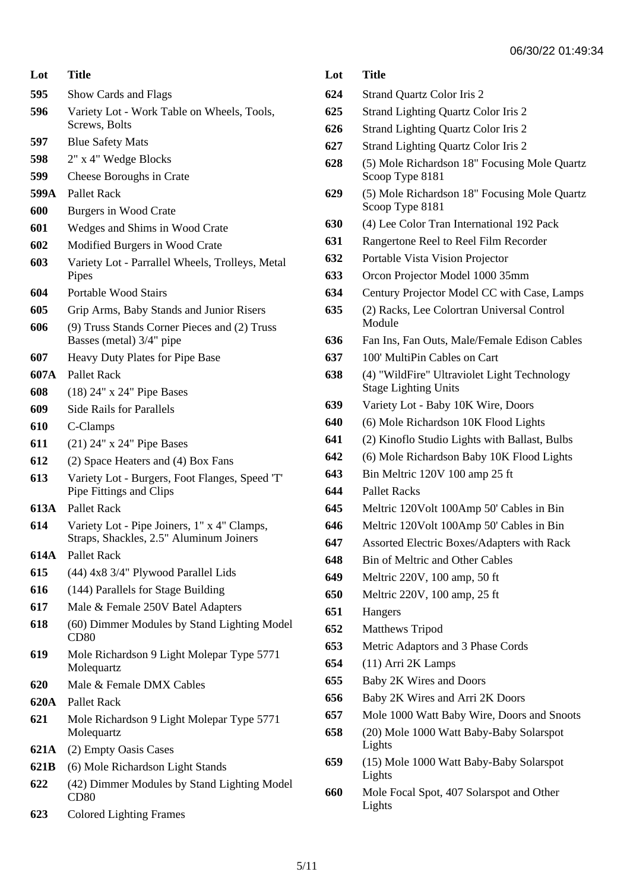| Lot  | Title                                                                                  |  |
|------|----------------------------------------------------------------------------------------|--|
| 595  | Show Cards and Flags                                                                   |  |
| 596  | Variety Lot - Work Table on Wheels, Tools,<br>Screws, Bolts                            |  |
| 597  | <b>Blue Safety Mats</b>                                                                |  |
| 598  | 2" x 4" Wedge Blocks                                                                   |  |
| 599  | Cheese Boroughs in Crate                                                               |  |
| 599A | Pallet Rack                                                                            |  |
| 600  | Burgers in Wood Crate                                                                  |  |
| 601  | Wedges and Shims in Wood Crate                                                         |  |
| 602  | Modified Burgers in Wood Crate                                                         |  |
| 603  | Variety Lot - Parrallel Wheels, Trolleys, Metal<br>Pipes                               |  |
| 604  | Portable Wood Stairs                                                                   |  |
| 605  | Grip Arms, Baby Stands and Junior Risers                                               |  |
| 606  | (9) Truss Stands Corner Pieces and (2) Truss<br>Basses (metal) 3/4" pipe               |  |
| 607  | Heavy Duty Plates for Pipe Base                                                        |  |
| 607A | Pallet Rack                                                                            |  |
| 608  | $(18)$ 24" x 24" Pipe Bases                                                            |  |
| 609  | <b>Side Rails for Parallels</b>                                                        |  |
| 610  | C-Clamps                                                                               |  |
| 611  | $(21)$ 24" x 24" Pipe Bases                                                            |  |
| 612  | (2) Space Heaters and (4) Box Fans                                                     |  |
| 613  | Variety Lot - Burgers, Foot Flanges, Speed 'T'<br>Pipe Fittings and Clips              |  |
| 613A | Pallet Rack                                                                            |  |
| 614  | Variety Lot - Pipe Joiners, 1" x 4" Clamps,<br>Straps, Shackles, 2.5" Aluminum Joiners |  |
| 614A | <b>Pallet Rack</b>                                                                     |  |
| 615  | (44) 4x8 3/4" Plywood Parallel Lids                                                    |  |
| 616  | (144) Parallels for Stage Building                                                     |  |
| 617  | Male & Female 250V Batel Adapters                                                      |  |
| 618  | (60) Dimmer Modules by Stand Lighting Model<br>CD <sub>80</sub>                        |  |
| 619  | Mole Richardson 9 Light Molepar Type 5771<br>Molequartz                                |  |
| 620  | Male & Female DMX Cables                                                               |  |
| 620A | <b>Pallet Rack</b>                                                                     |  |
| 621  | Mole Richardson 9 Light Molepar Type 5771<br>Molequartz                                |  |
| 621A | (2) Empty Oasis Cases                                                                  |  |
| 621B | (6) Mole Richardson Light Stands                                                       |  |
| 622  | (42) Dimmer Modules by Stand Lighting Model<br>CD <sub>80</sub>                        |  |
| 623  | <b>Colored Lighting Frames</b>                                                         |  |

| Lot | Title                                                                      |  |
|-----|----------------------------------------------------------------------------|--|
| 624 | Strand Quartz Color Iris 2                                                 |  |
| 625 | <b>Strand Lighting Quartz Color Iris 2</b>                                 |  |
| 626 | <b>Strand Lighting Quartz Color Iris 2</b>                                 |  |
| 627 | <b>Strand Lighting Quartz Color Iris 2</b>                                 |  |
| 628 | (5) Mole Richardson 18" Focusing Mole Quartz<br>Scoop Type 8181            |  |
| 629 | (5) Mole Richardson 18" Focusing Mole Quartz<br>Scoop Type 8181            |  |
| 630 | (4) Lee Color Tran International 192 Pack                                  |  |
| 631 | Rangertone Reel to Reel Film Recorder                                      |  |
| 632 | Portable Vista Vision Projector                                            |  |
| 633 | Orcon Projector Model 1000 35mm                                            |  |
| 634 | Century Projector Model CC with Case, Lamps                                |  |
| 635 | (2) Racks, Lee Colortran Universal Control<br>Module                       |  |
| 636 | Fan Ins, Fan Outs, Male/Female Edison Cables                               |  |
| 637 | 100' MultiPin Cables on Cart                                               |  |
| 638 | (4) "WildFire" Ultraviolet Light Technology<br><b>Stage Lighting Units</b> |  |
| 639 | Variety Lot - Baby 10K Wire, Doors                                         |  |
| 640 | (6) Mole Richardson 10K Flood Lights                                       |  |
| 641 | (2) Kinoflo Studio Lights with Ballast, Bulbs                              |  |
| 642 | (6) Mole Richardson Baby 10K Flood Lights                                  |  |
| 643 | Bin Meltric 120V 100 amp 25 ft                                             |  |
| 644 | Pallet Racks                                                               |  |
| 645 | Meltric 120Volt 100Amp 50' Cables in Bin                                   |  |
| 646 | Meltric 120Volt 100Amp 50' Cables in Bin                                   |  |
| 647 | Assorted Electric Boxes/Adapters with Rack                                 |  |
| 648 | <b>Bin of Meltric and Other Cables</b>                                     |  |
| 649 | Meltric 220V, 100 amp, 50 ft                                               |  |
| 650 | Meltric 220V, 100 amp, 25 ft                                               |  |
| 651 | Hangers                                                                    |  |
| 652 | <b>Matthews Tripod</b>                                                     |  |
| 653 | Metric Adaptors and 3 Phase Cords                                          |  |
| 654 | $(11)$ Arri 2K Lamps                                                       |  |
| 655 | Baby 2K Wires and Doors                                                    |  |
| 656 | Baby 2K Wires and Arri 2K Doors                                            |  |
| 657 | Mole 1000 Watt Baby Wire, Doors and Snoots                                 |  |
| 658 | (20) Mole 1000 Watt Baby-Baby Solarspot<br>Lights                          |  |
| 659 | (15) Mole 1000 Watt Baby-Baby Solarspot<br>Lights                          |  |

 Mole Focal Spot, 407 Solarspot and Other Lights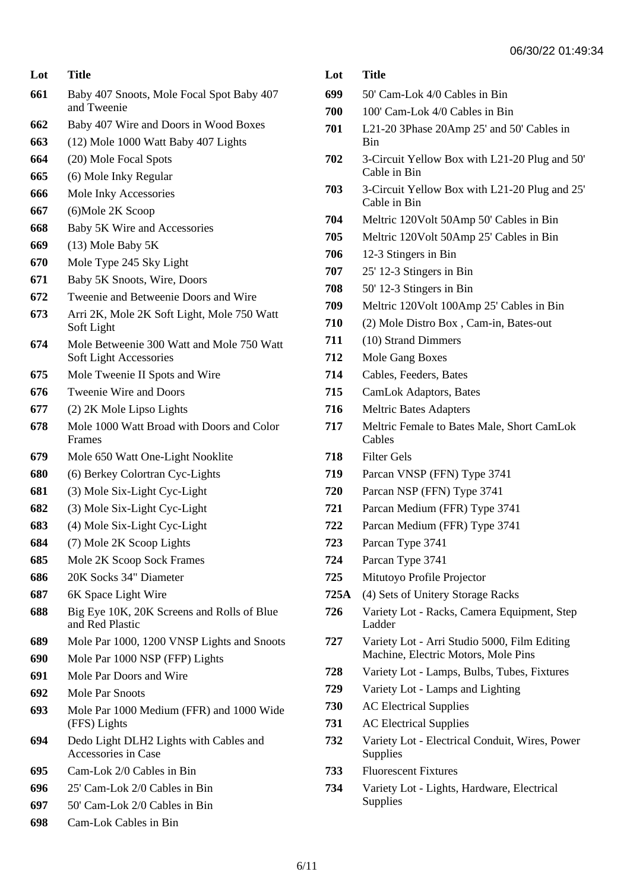| 665 | (6) Mole Inky Regular |
|-----|-----------------------|
| 666 | Mole Inky Accessories |
| 667 | (6) Mole 2K Scoop     |

Baby 407 Snoots, Mole Focal Spot Baby 407

 Baby 407 Wire and Doors in Wood Boxes (12) Mole 1000 Watt Baby 407 Lights

- Baby 5K Wire and Accessories
- (13) Mole Baby 5K

and Tweenie

(20) Mole Focal Spots

**Lot Title**

- Mole Type 245 Sky Light
- Baby 5K Snoots, Wire, Doors
- Tweenie and Betweenie Doors and Wire
- Arri 2K, Mole 2K Soft Light, Mole 750 Watt Soft Light
- Mole Betweenie 300 Watt and Mole 750 Watt Soft Light Accessories
- Mole Tweenie II Spots and Wire
- Tweenie Wire and Doors
- (2) 2K Mole Lipso Lights
- Mole 1000 Watt Broad with Doors and Color Frames
- Mole 650 Watt One-Light Nooklite
- (6) Berkey Colortran Cyc-Lights
- (3) Mole Six-Light Cyc-Light
- (3) Mole Six-Light Cyc-Light
- (4) Mole Six-Light Cyc-Light
- (7) Mole 2K Scoop Lights
- Mole 2K Scoop Sock Frames
- 20K Socks 34" Diameter
- 6K Space Light Wire
- Big Eye 10K, 20K Screens and Rolls of Blue and Red Plastic
- Mole Par 1000, 1200 VNSP Lights and Snoots
- Mole Par 1000 NSP (FFP) Lights
- Mole Par Doors and Wire
- Mole Par Snoots
- Mole Par 1000 Medium (FFR) and 1000 Wide (FFS) Lights
- Dedo Light DLH2 Lights with Cables and Accessories in Case
- Cam-Lok 2/0 Cables in Bin
- 25' Cam-Lok 2/0 Cables in Bin
- 50' Cam-Lok 2/0 Cables in Bin
- Cam-Lok Cables in Bin

 50' Cam-Lok 4/0 Cables in Bin 100' Cam-Lok 4/0 Cables in Bin L21-20 3Phase 20Amp 25' and 50' Cables in Bin 3-Circuit Yellow Box with L21-20 Plug and 50' Cable in Bin 3-Circuit Yellow Box with L21-20 Plug and 25' Cable in Bin Meltric 120Volt 50Amp 50' Cables in Bin Meltric 120Volt 50Amp 25' Cables in Bin 12-3 Stingers in Bin 25' 12-3 Stingers in Bin 50' 12-3 Stingers in Bin

- Meltric 120Volt 100Amp 25' Cables in Bin
- (2) Mole Distro Box , Cam-in, Bates-out
- (10) Strand Dimmers
- Mole Gang Boxes
- Cables, Feeders, Bates
- CamLok Adaptors, Bates
- Meltric Bates Adapters
- Meltric Female to Bates Male, Short CamLok Cables
- Filter Gels
- Parcan VNSP (FFN) Type 3741
- Parcan NSP (FFN) Type 3741
- Parcan Medium (FFR) Type 3741
- Parcan Medium (FFR) Type 3741
- Parcan Type 3741
- Parcan Type 3741
- Mitutoyo Profile Projector
- **725A** (4) Sets of Unitery Storage Racks
- Variety Lot Racks, Camera Equipment, Step Ladder
- Variety Lot Arri Studio 5000, Film Editing Machine, Electric Motors, Mole Pins
- Variety Lot Lamps, Bulbs, Tubes, Fixtures
- Variety Lot Lamps and Lighting
- AC Electrical Supplies
- AC Electrical Supplies
- Variety Lot Electrical Conduit, Wires, Power Supplies
- Fluorescent Fixtures
- Variety Lot Lights, Hardware, Electrical Supplies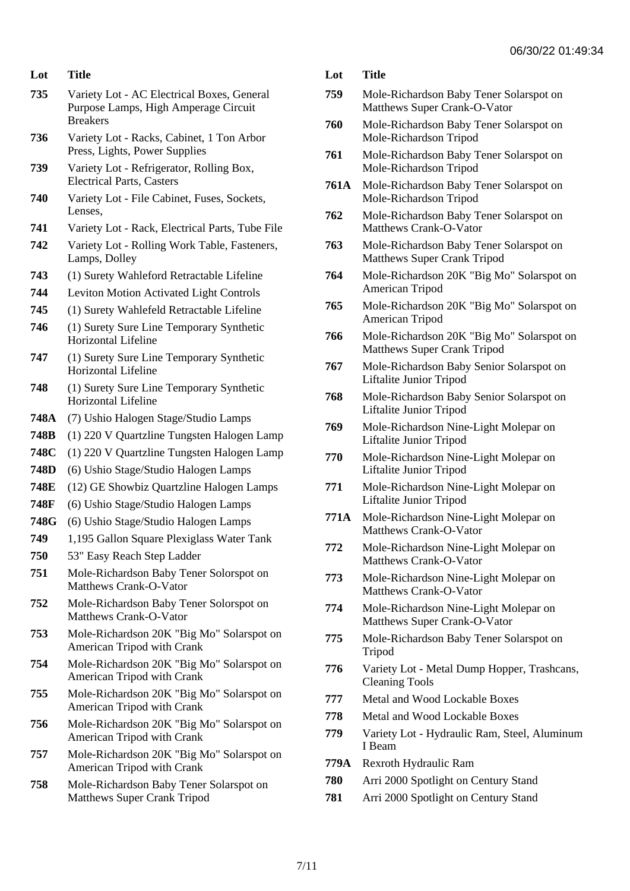- **735** Variety Lot AC Electrical Boxes, General Purpose Lamps, High Amperage Circuit Breakers
- **736** Variety Lot Racks, Cabinet, 1 Ton Arbor Press, Lights, Power Supplies
- **739** Variety Lot Refrigerator, Rolling Box, Electrical Parts, Casters
- **740** Variety Lot File Cabinet, Fuses, Sockets, Lenses,
- **741** Variety Lot Rack, Electrical Parts, Tube File
- **742** Variety Lot Rolling Work Table, Fasteners, Lamps, Dolley
- **743** (1) Surety Wahleford Retractable Lifeline
- **744** Leviton Motion Activated Light Controls
- **745** (1) Surety Wahlefeld Retractable Lifeline
- **746** (1) Surety Sure Line Temporary Synthetic Horizontal Lifeline
- **747** (1) Surety Sure Line Temporary Synthetic Horizontal Lifeline
- **748** (1) Surety Sure Line Temporary Synthetic Horizontal Lifeline
- **748A** (7) Ushio Halogen Stage/Studio Lamps
- **748B** (1) 220 V Quartzline Tungsten Halogen Lamp
- **748C** (1) 220 V Quartzline Tungsten Halogen Lamp
- **748D** (6) Ushio Stage/Studio Halogen Lamps
- **748E** (12) GE Showbiz Quartzline Halogen Lamps
- **748F** (6) Ushio Stage/Studio Halogen Lamps
- **748G** (6) Ushio Stage/Studio Halogen Lamps
- **749** 1,195 Gallon Square Plexiglass Water Tank
- **750** 53" Easy Reach Step Ladder
- **751** Mole-Richardson Baby Tener Solorspot on Matthews Crank-O-Vator
- **752** Mole-Richardson Baby Tener Solorspot on Matthews Crank-O-Vator
- **753** Mole-Richardson 20K "Big Mo" Solarspot on American Tripod with Crank
- **754** Mole-Richardson 20K "Big Mo" Solarspot on American Tripod with Crank
- **755** Mole-Richardson 20K "Big Mo" Solarspot on American Tripod with Crank
- **756** Mole-Richardson 20K "Big Mo" Solarspot on American Tripod with Crank
- **757** Mole-Richardson 20K "Big Mo" Solarspot on American Tripod with Crank
- **758** Mole-Richardson Baby Tener Solarspot on Matthews Super Crank Tripod
- **Lot Title**
- **759** Mole-Richardson Baby Tener Solarspot on Matthews Super Crank-O-Vator
- **760** Mole-Richardson Baby Tener Solarspot on Mole-Richardson Tripod
- **761** Mole-Richardson Baby Tener Solarspot on Mole-Richardson Tripod
- **761A** Mole-Richardson Baby Tener Solarspot on Mole-Richardson Tripod
- **762** Mole-Richardson Baby Tener Solarspot on Matthews Crank-O-Vator
- **763** Mole-Richardson Baby Tener Solarspot on Matthews Super Crank Tripod
- **764** Mole-Richardson 20K "Big Mo" Solarspot on American Tripod
- **765** Mole-Richardson 20K "Big Mo" Solarspot on American Tripod
- **766** Mole-Richardson 20K "Big Mo" Solarspot on Matthews Super Crank Tripod
- **767** Mole-Richardson Baby Senior Solarspot on Liftalite Junior Tripod
- **768** Mole-Richardson Baby Senior Solarspot on Liftalite Junior Tripod
- **769** Mole-Richardson Nine-Light Molepar on Liftalite Junior Tripod
- **770** Mole-Richardson Nine-Light Molepar on Liftalite Junior Tripod
- **771** Mole-Richardson Nine-Light Molepar on Liftalite Junior Tripod
- **771A** Mole-Richardson Nine-Light Molepar on Matthews Crank-O-Vator
- **772** Mole-Richardson Nine-Light Molepar on Matthews Crank-O-Vator
- **773** Mole-Richardson Nine-Light Molepar on Matthews Crank-O-Vator
- **774** Mole-Richardson Nine-Light Molepar on Matthews Super Crank-O-Vator
- **775** Mole-Richardson Baby Tener Solarspot on Tripod
- **776** Variety Lot Metal Dump Hopper, Trashcans, Cleaning Tools
- **777** Metal and Wood Lockable Boxes
- **778** Metal and Wood Lockable Boxes
- **779** Variety Lot Hydraulic Ram, Steel, Aluminum I Beam
- **779A** Rexroth Hydraulic Ram
- **780** Arri 2000 Spotlight on Century Stand
- **781** Arri 2000 Spotlight on Century Stand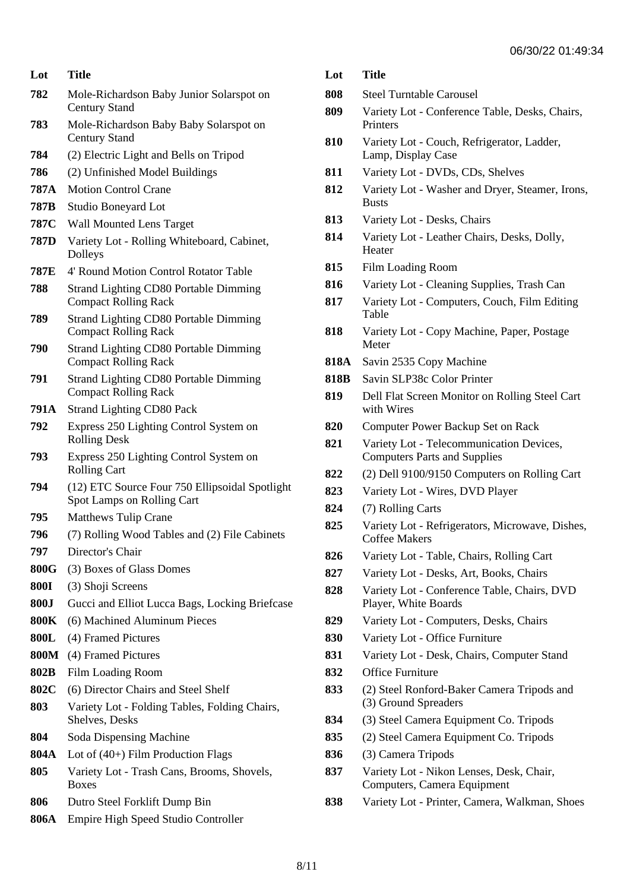| Lot         | Title                                                                        |  |
|-------------|------------------------------------------------------------------------------|--|
| 782         | Mole-Richardson Baby Junior Solarspot on<br><b>Century Stand</b>             |  |
| 783         | Mole-Richardson Baby Baby Solarspot on<br><b>Century Stand</b>               |  |
| 784         | (2) Electric Light and Bells on Tripod                                       |  |
| 786         | (2) Unfinished Model Buildings                                               |  |
| 787A        | <b>Motion Control Crane</b>                                                  |  |
| 787B        | Studio Boneyard Lot                                                          |  |
| 787C        | <b>Wall Mounted Lens Target</b>                                              |  |
| 787D        | Variety Lot - Rolling Whiteboard, Cabinet,<br>Dolleys                        |  |
| 787E        | 4' Round Motion Control Rotator Table                                        |  |
| 788         | <b>Strand Lighting CD80 Portable Dimming</b><br><b>Compact Rolling Rack</b>  |  |
| 789         | <b>Strand Lighting CD80 Portable Dimming</b><br><b>Compact Rolling Rack</b>  |  |
| 790         | <b>Strand Lighting CD80 Portable Dimming</b><br><b>Compact Rolling Rack</b>  |  |
| 791         | <b>Strand Lighting CD80 Portable Dimming</b><br><b>Compact Rolling Rack</b>  |  |
| 791A        | <b>Strand Lighting CD80 Pack</b>                                             |  |
| 792         | Express 250 Lighting Control System on<br><b>Rolling Desk</b>                |  |
| 793         | Express 250 Lighting Control System on<br><b>Rolling Cart</b>                |  |
| 794         | (12) ETC Source Four 750 Ellipsoidal Spotlight<br>Spot Lamps on Rolling Cart |  |
| 795         | <b>Matthews Tulip Crane</b>                                                  |  |
| 796         | (7) Rolling Wood Tables and (2) File Cabinets                                |  |
| 797         | Director's Chair                                                             |  |
| 800G        | (3) Boxes of Glass Domes                                                     |  |
| <b>800I</b> | (3) Shoji Screens                                                            |  |
| <b>800J</b> | Gucci and Elliot Lucca Bags, Locking Briefcase                               |  |
| 800K        | (6) Machined Aluminum Pieces                                                 |  |
| 800L        | (4) Framed Pictures                                                          |  |
| 800M        | (4) Framed Pictures                                                          |  |
| 802B        | <b>Film Loading Room</b>                                                     |  |
| 802C        | (6) Director Chairs and Steel Shelf                                          |  |
| 803         | Variety Lot - Folding Tables, Folding Chairs,<br>Shelves, Desks              |  |
| 804         | Soda Dispensing Machine                                                      |  |
| 804A        | Lot of (40+) Film Production Flags                                           |  |
| 805         | Variety Lot - Trash Cans, Brooms, Shovels,<br><b>Boxes</b>                   |  |
| 806         | Dutro Steel Forklift Dump Bin                                                |  |

**806A** Empire High Speed Studio Controller

- **Lot Title**
- **808** Steel Turntable Carousel
- **809** Variety Lot Conference Table, Desks, Chairs, Printers
- **810** Variety Lot Couch, Refrigerator, Ladder, Lamp, Display Case
- **811** Variety Lot DVDs, CDs, Shelves
- **812** Variety Lot Washer and Dryer, Steamer, Irons, Busts
- **813** Variety Lot Desks, Chairs
- **814** Variety Lot Leather Chairs, Desks, Dolly, **Heater**
- **815** Film Loading Room
- **816** Variety Lot Cleaning Supplies, Trash Can
- **817** Variety Lot Computers, Couch, Film Editing Table
- **818** Variety Lot Copy Machine, Paper, Postage Meter
- **818A** Savin 2535 Copy Machine
- **818B** Savin SLP38c Color Printer
- **819** Dell Flat Screen Monitor on Rolling Steel Cart with Wires
- **820** Computer Power Backup Set on Rack
- **821** Variety Lot Telecommunication Devices, Computers Parts and Supplies
- **822** (2) Dell 9100/9150 Computers on Rolling Cart
- **823** Variety Lot Wires, DVD Player
- **824** (7) Rolling Carts
- **825** Variety Lot Refrigerators, Microwave, Dishes, Coffee Makers
- **826** Variety Lot Table, Chairs, Rolling Cart
- **827** Variety Lot Desks, Art, Books, Chairs
- **828** Variety Lot Conference Table, Chairs, DVD Player, White Boards
- **829** Variety Lot Computers, Desks, Chairs
- **830** Variety Lot Office Furniture
- **831** Variety Lot Desk, Chairs, Computer Stand
- **832** Office Furniture
- **833** (2) Steel Ronford-Baker Camera Tripods and (3) Ground Spreaders
- **834** (3) Steel Camera Equipment Co. Tripods
- **835** (2) Steel Camera Equipment Co. Tripods
- **836** (3) Camera Tripods
- **837** Variety Lot Nikon Lenses, Desk, Chair, Computers, Camera Equipment
- **838** Variety Lot Printer, Camera, Walkman, Shoes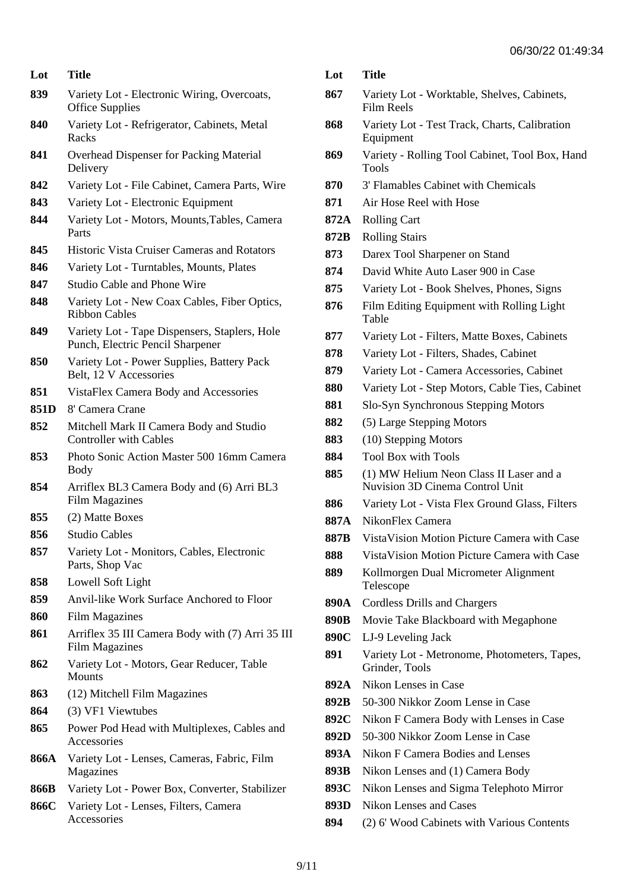| Lot  | <b>Title</b>                                                                      |
|------|-----------------------------------------------------------------------------------|
| 839  | Variety Lot - Electronic Wiring, Overcoats,<br><b>Office Supplies</b>             |
| 840  | Variety Lot - Refrigerator, Cabinets, Metal<br>Racks                              |
| 841  | <b>Overhead Dispenser for Packing Material</b><br>Delivery                        |
| 842  | Variety Lot - File Cabinet, Camera Parts, Wire                                    |
| 843  | Variety Lot - Electronic Equipment                                                |
| 844  | Variety Lot - Motors, Mounts, Tables, Camera<br>Parts                             |
| 845  | <b>Historic Vista Cruiser Cameras and Rotators</b>                                |
| 846  | Variety Lot - Turntables, Mounts, Plates                                          |
| 847  | <b>Studio Cable and Phone Wire</b>                                                |
| 848  | Variety Lot - New Coax Cables, Fiber Optics,<br><b>Ribbon Cables</b>              |
| 849  | Variety Lot - Tape Dispensers, Staplers, Hole<br>Punch, Electric Pencil Sharpener |
| 850  | Variety Lot - Power Supplies, Battery Pack<br>Belt, 12 V Accessories              |
| 851  | VistaFlex Camera Body and Accessories                                             |
| 851D | 8' Camera Crane                                                                   |
| 852  | Mitchell Mark II Camera Body and Studio<br><b>Controller with Cables</b>          |
| 853  | Photo Sonic Action Master 500 16mm Camera<br><b>Body</b>                          |
| 854  | Arriflex BL3 Camera Body and (6) Arri BL3<br><b>Film Magazines</b>                |
| 855  | (2) Matte Boxes                                                                   |
| 856  | <b>Studio Cables</b>                                                              |
| 857  | Variety Lot - Monitors, Cables, Electronic<br>Parts, Shop Vac                     |
| 858  | Lowell Soft Light                                                                 |
| 859  | Anvil-like Work Surface Anchored to Floor                                         |
| 860  | <b>Film Magazines</b>                                                             |
| 861  | Arriflex 35 III Camera Body with (7) Arri 35 III<br><b>Film Magazines</b>         |
| 862  | Variety Lot - Motors, Gear Reducer, Table<br><b>Mounts</b>                        |
| 863  | (12) Mitchell Film Magazines                                                      |
| 864  | (3) VF1 Viewtubes                                                                 |
| 865  | Power Pod Head with Multiplexes, Cables and<br>Accessories                        |
| 866A | Variety Lot - Lenses, Cameras, Fabric, Film<br>Magazines                          |
| 866B | Variety Lot - Power Box, Converter, Stabilizer                                    |
| 866C | Variety Lot - Lenses, Filters, Camera<br>Accessories                              |

| Lot | Title |
|-----|-------|
|     |       |

- **867** Variety Lot Worktable, Shelves, Cabinets, Film Reels
- **868** Variety Lot Test Track, Charts, Calibration Equipment
- **869** Variety Rolling Tool Cabinet, Tool Box, Hand Tools
- **870** 3' Flamables Cabinet with Chemicals
- **871** Air Hose Reel with Hose
- **872A** Rolling Cart
- **872B** Rolling Stairs
- **873** Darex Tool Sharpener on Stand
- **874** David White Auto Laser 900 in Case
- **875** Variety Lot Book Shelves, Phones, Signs
- **876** Film Editing Equipment with Rolling Light Table
- **877** Variety Lot Filters, Matte Boxes, Cabinets
- **878** Variety Lot Filters, Shades, Cabinet
- **879** Variety Lot Camera Accessories, Cabinet
- **880** Variety Lot Step Motors, Cable Ties, Cabinet
- **881** Slo-Syn Synchronous Stepping Motors
- **882** (5) Large Stepping Motors
- **883** (10) Stepping Motors
- **884** Tool Box with Tools
- **885** (1) MW Helium Neon Class II Laser and a Nuvision 3D Cinema Control Unit
- **886** Variety Lot Vista Flex Ground Glass, Filters
- **887A** NikonFlex Camera
- **887B** VistaVision Motion Picture Camera with Case
- **888** VistaVision Motion Picture Camera with Case
- **889** Kollmorgen Dual Micrometer Alignment Telescope
- **890A** Cordless Drills and Chargers
- **890B** Movie Take Blackboard with Megaphone
- **890C** LJ-9 Leveling Jack
- **891** Variety Lot Metronome, Photometers, Tapes, Grinder, Tools
- **892A** Nikon Lenses in Case
- **892B** 50-300 Nikkor Zoom Lense in Case
- **892C** Nikon F Camera Body with Lenses in Case
- **892D** 50-300 Nikkor Zoom Lense in Case
- **893A** Nikon F Camera Bodies and Lenses
- **893B** Nikon Lenses and (1) Camera Body
- **893C** Nikon Lenses and Sigma Telephoto Mirror
- **893D** Nikon Lenses and Cases
- **894** (2) 6' Wood Cabinets with Various Contents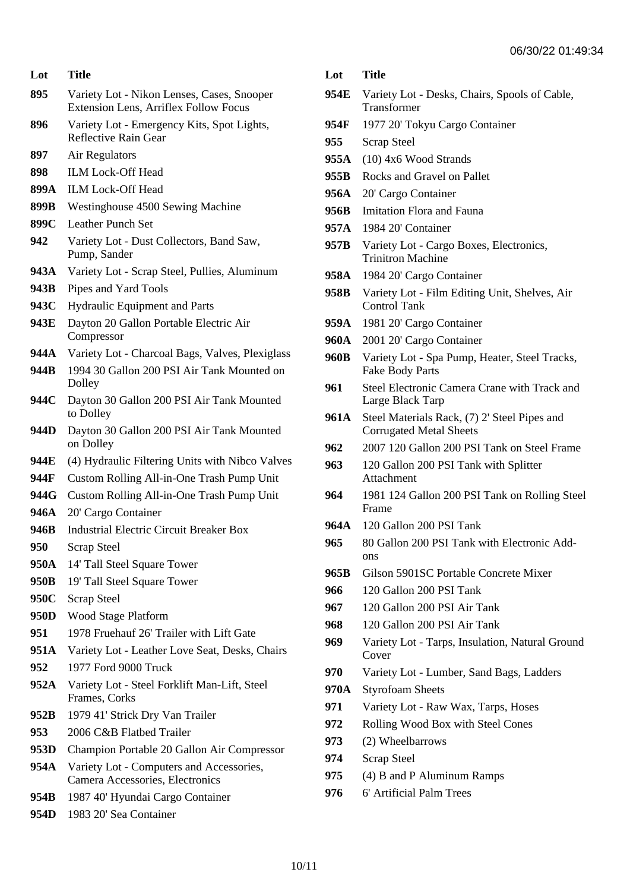| Lot | <b>Title</b> |
|-----|--------------|
|     |              |

- **895** Variety Lot Nikon Lenses, Cases, Snooper Extension Lens, Arriflex Follow Focus
- **896** Variety Lot Emergency Kits, Spot Lights, Reflective Rain Gear
- **897** Air Regulators
- **898** ILM Lock-Off Head
- **899A** ILM Lock-Off Head
- **899B** Westinghouse 4500 Sewing Machine
- **899C** Leather Punch Set
- **942** Variety Lot Dust Collectors, Band Saw, Pump, Sander
- **943A** Variety Lot Scrap Steel, Pullies, Aluminum
- **943B** Pipes and Yard Tools
- **943C** Hydraulic Equipment and Parts
- **943E** Dayton 20 Gallon Portable Electric Air Compressor
- **944A** Variety Lot Charcoal Bags, Valves, Plexiglass
- **944B** 1994 30 Gallon 200 PSI Air Tank Mounted on Dolley
- **944C** Dayton 30 Gallon 200 PSI Air Tank Mounted to Dolley
- **944D** Dayton 30 Gallon 200 PSI Air Tank Mounted on Dolley
- **944E** (4) Hydraulic Filtering Units with Nibco Valves
- **944F** Custom Rolling All-in-One Trash Pump Unit
- **944G** Custom Rolling All-in-One Trash Pump Unit
- **946A** 20' Cargo Container
- **946B** Industrial Electric Circuit Breaker Box
- **950** Scrap Steel
- **950A** 14' Tall Steel Square Tower
- **950B** 19' Tall Steel Square Tower
- **950C** Scrap Steel
- **950D** Wood Stage Platform
- **951** 1978 Fruehauf 26' Trailer with Lift Gate
- **951A** Variety Lot Leather Love Seat, Desks, Chairs
- **952** 1977 Ford 9000 Truck
- **952A** Variety Lot Steel Forklift Man-Lift, Steel Frames, Corks
- **952B** 1979 41' Strick Dry Van Trailer
- **953** 2006 C&B Flatbed Trailer
- **953D** Champion Portable 20 Gallon Air Compressor
- **954A** Variety Lot Computers and Accessories, Camera Accessories, Electronics
- **954B** 1987 40' Hyundai Cargo Container
- **954D** 1983 20' Sea Container
- **Lot Title**
- **954E** Variety Lot Desks, Chairs, Spools of Cable, Transformer
- **954F** 1977 20' Tokyu Cargo Container
- **955** Scrap Steel
- **955A** (10) 4x6 Wood Strands
- **955B** Rocks and Gravel on Pallet
- **956A** 20' Cargo Container
- **956B** Imitation Flora and Fauna
- **957A** 1984 20' Container
- **957B** Variety Lot Cargo Boxes, Electronics, Trinitron Machine
- **958A** 1984 20' Cargo Container
- **958B** Variety Lot Film Editing Unit, Shelves, Air Control Tank
- **959A** 1981 20' Cargo Container
- **960A** 2001 20' Cargo Container
- **960B** Variety Lot Spa Pump, Heater, Steel Tracks, Fake Body Parts
- **961** Steel Electronic Camera Crane with Track and Large Black Tarp
- **961A** Steel Materials Rack, (7) 2' Steel Pipes and Corrugated Metal Sheets
- **962** 2007 120 Gallon 200 PSI Tank on Steel Frame
- **963** 120 Gallon 200 PSI Tank with Splitter Attachment
- **964** 1981 124 Gallon 200 PSI Tank on Rolling Steel Frame
- **964A** 120 Gallon 200 PSI Tank
- **965** 80 Gallon 200 PSI Tank with Electronic Addons
- **965B** Gilson 5901SC Portable Concrete Mixer
- **966** 120 Gallon 200 PSI Tank
- **967** 120 Gallon 200 PSI Air Tank
- **968** 120 Gallon 200 PSI Air Tank
- **969** Variety Lot Tarps, Insulation, Natural Ground Cover
- **970** Variety Lot Lumber, Sand Bags, Ladders
- **970A** Styrofoam Sheets
- **971** Variety Lot Raw Wax, Tarps, Hoses
- **972** Rolling Wood Box with Steel Cones
- **973** (2) Wheelbarrows
- **974** Scrap Steel
- **975** (4) B and P Aluminum Ramps
- **976** 6' Artificial Palm Trees